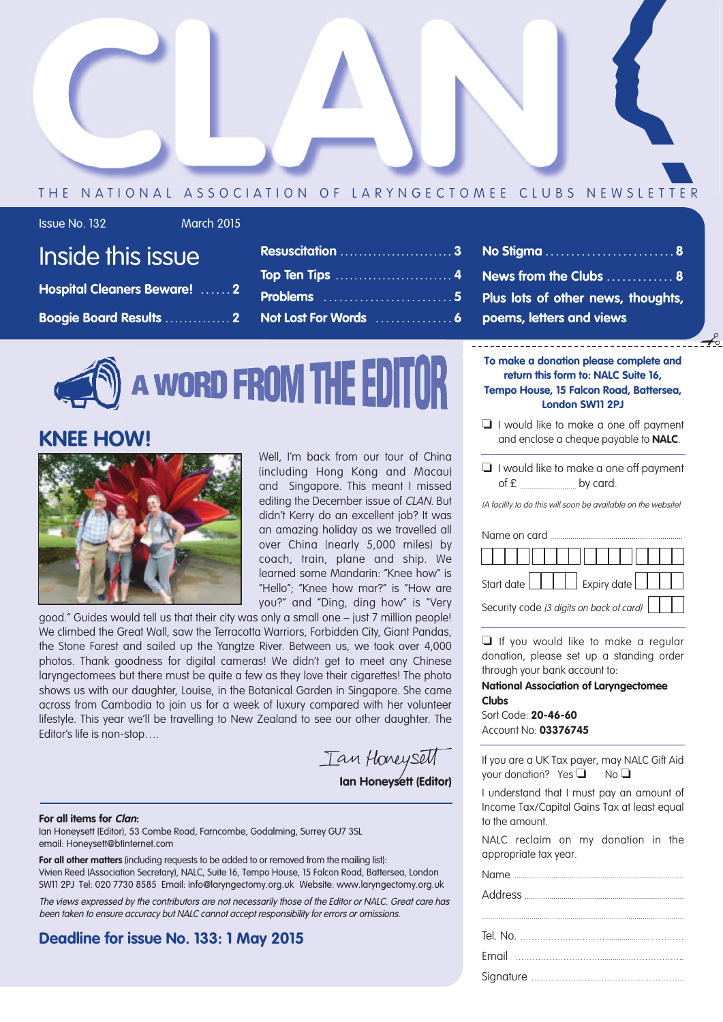

### THE NATIONAL ASSOCIATION OF LARYNGECTOMEE CLUBS NEWSLETTER

Inside this issue

**Hospital Cleaners Beware! . . . . . . 2**

**Boogie Board Results . . . . . . . . . . . . . . 2**

Issue No. 132 March 2015

| <b>Resuscitation</b> 3 |  |
|------------------------|--|
|                        |  |
| Problems 5             |  |
| Not Lost For Words  6  |  |

**No Stigma . . . . . . . . . . . . . . . . . . . . . . . . . 8 News from the Clubs . . . . . . . . . . . . . 8 Plus lots of other news, thoughts, poems, letters and views**

# **A WORD FROM THE EDITOR**

### **KNEE HOW!**



Well, I'm back from our tour of China (including Hong Kong and Macau) and Singapore. This meant I missed editing the December issue of CLAN. But didn't Kerry do an excellent job? It was an amazing holiday as we travelled all over China (nearly 5,000 miles) by coach, train, plane and ship. We learned some Mandarin: "Knee how" is "Hello"; "Knee how mar?" is "How are you?" and "Ding, ding how" is "Very

good." Guides would tell us that their city was only a small one – just 7 million people! We climbed the Great Wall, saw the Terracotta Warriors, Forbidden City, Giant Pandas, the Stone Forest and sailed up the Yangtze River. Between us, we took over 4,000 photos. Thank goodness for digital cameras! We didn't get to meet any Chinese laryngectomees but there must be quite a few as they love their cigarettes! The photo shows us with our daughter, Louise, in the Botanical Garden in Singapore. She came across from Cambodia to join us for a week of luxury compared with her volunteer lifestyle. This year we'll be travelling to New Zealand to see our other daughter. The Editor's life is non-stop….

Tan Honeysett **Ian Honeysett (Editor)**

#### **For all items for Clan:**

Ian Honeysett (Editor), 53 Combe Road, Farncombe, Godalming, Surrey GU7 3SL email: Honeysett@btinternet.com

**For all other matters** (including requests to be added to or removed from the mailing list): Vivien Reed (Association Secretary), NALC, Suite 16, Tempo House, 15 Falcon Road, Battersea, London SW11 2PJ Tel: 020 7730 8585 Email: info@laryngectomy.org.uk Website: www.laryngectomy.org.uk

The views expressed by the contributors are not necessarily those of the Editor or NALC. Great care has been taken to ensure accuracy but NALC cannot accept responsibility for errors or omissions.

### **Deadline for issue No. 133: 1 May 2015**

**To make a donation please complete and return this form to: NALC Suite 16, Tempo House, 15 Falcon Road, Battersea, London SW11 2PJ**

✃

- ❏ I would like to make a one off payment and enclose a cheque payable to **NALC**.
- ❏ I would like to make a one off payment  $of  $\epsilon$$  by card.

(A facility to do this will soon be available on the website)

# Name on card Start date  $\boxed{\phantom{a}}$  Expiry date Security code (3 digits on back of card)

❏ If you would like to make a regular donation, please set up a standing order through your bank account to:

#### **National Association of Laryngectomee Clubs**

Sort Code: **20-46-60** Account No: **03376745**

If you are a UK Tax payer, may NALC Gift Aid your donation? Yes **□** No **□** 

I understand that I must pay an amount of Income Tax/Capital Gains Tax at least equal to the amount.

NALC reclaim on my donation in the appropriate tax year.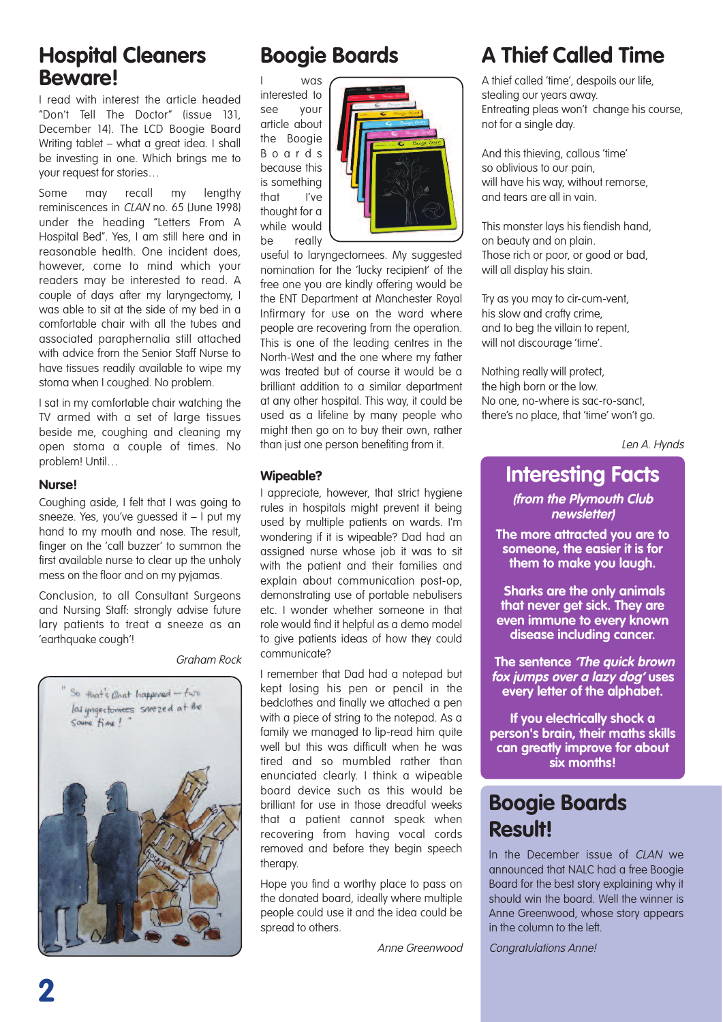### **Hospital Cleaners Beware!**

I read with interest the article headed "Don't Tell The Doctor" (issue 131, December 14). The LCD Boogie Board Writing tablet – what a great idea. I shall be investing in one. Which brings me to your request for stories…

Some may recall my lengthy reminiscences in CLAN no. 65 (June 1998) under the heading "Letters From A Hospital Bed". Yes, I am still here and in reasonable health. One incident does, however, come to mind which your readers may be interested to read. A couple of days after my laryngectomy, I was able to sit at the side of my bed in a comfortable chair with all the tubes and associated paraphernalia still attached with advice from the Senior Staff Nurse to have tissues readily available to wipe my stoma when I coughed. No problem.

I sat in my comfortable chair watching the TV armed with a set of large tissues beside me, coughing and cleaning my open stoma a couple of times. No problem! Until…

#### **Nurse!**

Coughing aside, I felt that I was going to sneeze. Yes, you've guessed it – I put my hand to my mouth and nose. The result, finger on the 'call buzzer' to summon the first available nurse to clear up the unholy mess on the floor and on my pyjamas.

Conclusion, to all Consultant Surgeons and Nursing Staff: strongly advise future lary patients to treat a sneeze as an 'earthquake cough'!

Graham Rock



# **Boogie Boards**

I was interested to see your article about the Boogie B o a r d s because this is something that I've thought for a while would be really



useful to laryngectomees. My suggested nomination for the 'lucky recipient' of the free one you are kindly offering would be the ENT Department at Manchester Royal Infirmary for use on the ward where people are recovering from the operation. This is one of the leading centres in the North-West and the one where my father was treated but of course it would be a brilliant addition to a similar department at any other hospital. This way, it could be used as a lifeline by many people who might then go on to buy their own, rather than just one person benefiting from it.

### **Wipeable?**

I appreciate, however, that strict hygiene rules in hospitals might prevent it being used by multiple patients on wards. I'm wondering if it is wipeable? Dad had an assigned nurse whose job it was to sit with the patient and their families and explain about communication post-op, demonstrating use of portable nebulisers etc. I wonder whether someone in that role would find it helpful as a demo model to give patients ideas of how they could communicate?

I remember that Dad had a notepad but kept losing his pen or pencil in the bedclothes and finally we attached a pen with a piece of string to the notepad. As a family we managed to lip-read him quite well but this was difficult when he was tired and so mumbled rather than enunciated clearly. I think a wipeable board device such as this would be brilliant for use in those dreadful weeks that a patient cannot speak when recovering from having vocal cords removed and before they begin speech therapy.

Hope you find a worthy place to pass on the donated board, ideally where multiple people could use it and the idea could be spread to others.

Anne Greenwood

# **A Thief Called Time**

A thief called 'time', despoils our life, stealing our years away. Entreating pleas won't change his course, not for a single day.

And this thieving, callous 'time' so oblivious to our pain, will have his way, without remorse. and tears are all in vain.

This monster lays his fiendish hand, on beauty and on plain. Those rich or poor, or good or bad, will all display his stain.

Try as you may to cir-cum-vent, his slow and crafty crime, and to beg the villain to repent, will not discourage 'time'.

Nothing really will protect, the high born or the low. No one, no-where is sac-ro-sanct, there's no place, that 'time' won't go.

Len A. Hynds

# **Interesting Facts**

**(from the Plymouth Club newsletter)**

**The more attracted you are to someone, the easier it is for them to make you laugh.**

**Sharks are the only animals that never get sick. They are even immune to every known disease including cancer.**

**The sentence 'The quick brown fox jumps over <sup>a</sup> lazy dog' uses every letter of the alphabet.**

**If you electrically shock a person's brain, their maths skills can greatly improve for about six months!**

# **Boogie Boards Result!**

In the December issue of CLAN we announced that NALC had a free Boogie Board for the best story explaining why it should win the board. Well the winner is Anne Greenwood, whose story appears in the column to the left.

Congratulations Anne!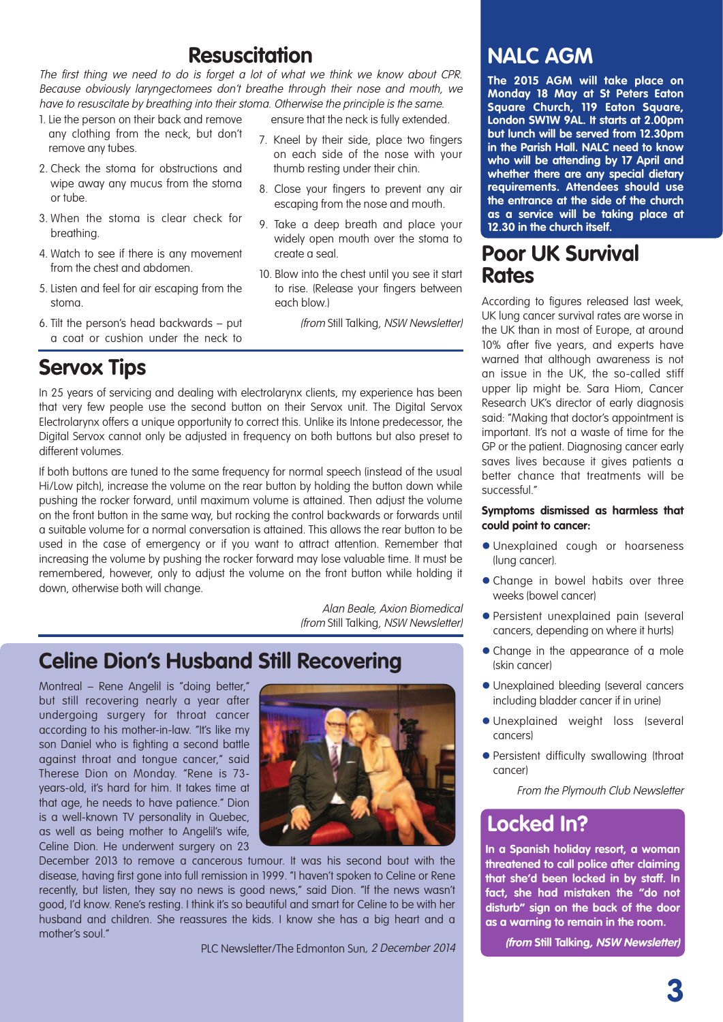# **Resuscitation**

The first thing we need to do is forget <sup>a</sup> lot of what we think we know about CPR. Because obviously laryngectomees don't breathe through their nose and mouth, we have to resuscitate by breathing into their stoma. Otherwise the principle is the same.

- 1. Lie the person on their back and remove any clothing from the neck, but don't remove any tubes.
- 2. Check the stoma for obstructions and wipe away any mucus from the stoma or tube.
- 3. When the stoma is clear check for breathing.
- 4. Watch to see if there is any movement from the chest and abdomen.
- 5. Listen and feel for air escaping from the stoma.
- 6. Tilt the person's head backwards put a coat or cushion under the neck to

# **Servox Tips**

ensure that the neck is fully extended.

- 7. Kneel by their side, place two fingers on each side of the nose with your thumb resting under their chin.
- 8. Close your fingers to prevent any air escaping from the nose and mouth.
- 9. Take a deep breath and place your widely open mouth over the stoma to create a seal.
- 10. Blow into the chest until you see it start to rise. (Release your fingers between each blow.)

(from Still Talking, NSW Newsletter)

In 25 years of servicing and dealing with electrolarynx clients, my experience has been that very few people use the second button on their Servox unit. The Digital Servox Electrolarynx offers a unique opportunity to correct this. Unlike its Intone predecessor, the Digital Servox cannot only be adjusted in frequency on both buttons but also preset to different volumes.

If both buttons are tuned to the same frequency for normal speech (instead of the usual Hi/Low pitch), increase the volume on the rear button by holding the button down while pushing the rocker forward, until maximum volume is attained. Then adjust the volume on the front button in the same way, but rocking the control backwards or forwards until a suitable volume for a normal conversation is attained. This allows the rear button to be used in the case of emergency or if you want to attract attention. Remember that increasing the volume by pushing the rocker forward may lose valuable time. It must be remembered, however, only to adjust the volume on the front button while holding it down, otherwise both will change.

> Alan Beale, Axion Biomedical (from Still Talking, NSW Newsletter)

## **Celine Dion's Husband Still Recovering**

Montreal – Rene Angelil is "doing better," but still recovering nearly a year after undergoing surgery for throat cancer according to his mother-in-law. "It's like my son Daniel who is fighting a second battle against throat and tongue cancer," said Therese Dion on Monday. "Rene is 73 years-old, it's hard for him. It takes time at that age, he needs to have patience." Dion is a well-known TV personality in Quebec, as well as being mother to Angelil's wife, Celine Dion. He underwent surgery on 23



December 2013 to remove a cancerous tumour. It was his second bout with the disease, having first gone into full remission in 1999. "I haven't spoken to Celine or Rene recently, but listen, they say no news is good news," said Dion. "If the news wasn't good, I'd know. Rene's resting. I think it's so beautiful and smart for Celine to be with her husband and children. She reassures the kids. I know she has a big heart and a mother's soul."

PLC Newsletter/The Edmonton Sun, 2 December 2014

## **NALC AGM**

**The 2015 AGM will take place on Monday 18 May at St Peters Eaton Square Church, 119 Eaton Square, London SW1W 9AL. It starts at 2.00pm but lunch will be served from 12.30pm in the Parish Hall. NALC need to know who will be attending by 17 April and whether there are any special dietary requirements. Attendees should use the entrance at the side of the church as a service will be taking place at 12.30 in the church itself.**

### **Poor UK Survival Rates**

According to figures released last week, UK lung cancer survival rates are worse in the UK than in most of Europe, at around 10% after five years, and experts have warned that although awareness is not an issue in the UK, the so-called stiff upper lip might be. Sara Hiom, Cancer Research UK's director of early diagnosis said: "Making that doctor's appointment is important. It's not a waste of time for the GP or the patient. Diagnosing cancer early saves lives because it gives patients a better chance that treatments will be successful."

#### **Symptoms dismissed as harmless that could point to cancer:**

- l Unexplained cough or hoarseness (lung cancer).
- Change in bowel habits over three weeks (bowel cancer)
- **•** Persistent unexplained pain (several cancers, depending on where it hurts)
- Change in the appearance of a mole (skin cancer)
- l Unexplained bleeding (several cancers including bladder cancer if in urine)
- l Unexplained weight loss (several cancers)
- **Persistent difficulty swallowing (throat** cancer)

From the Plymouth Club Newsletter

# **Locked In?**

**In a Spanish holiday resort, a woman threatened to call police after claiming that she'd been locked in by staff. In fact, she had mistaken the "do not disturb" sign on the back of the door as a warning to remain in the room.**

**(from Still Talking, NSW Newsletter)**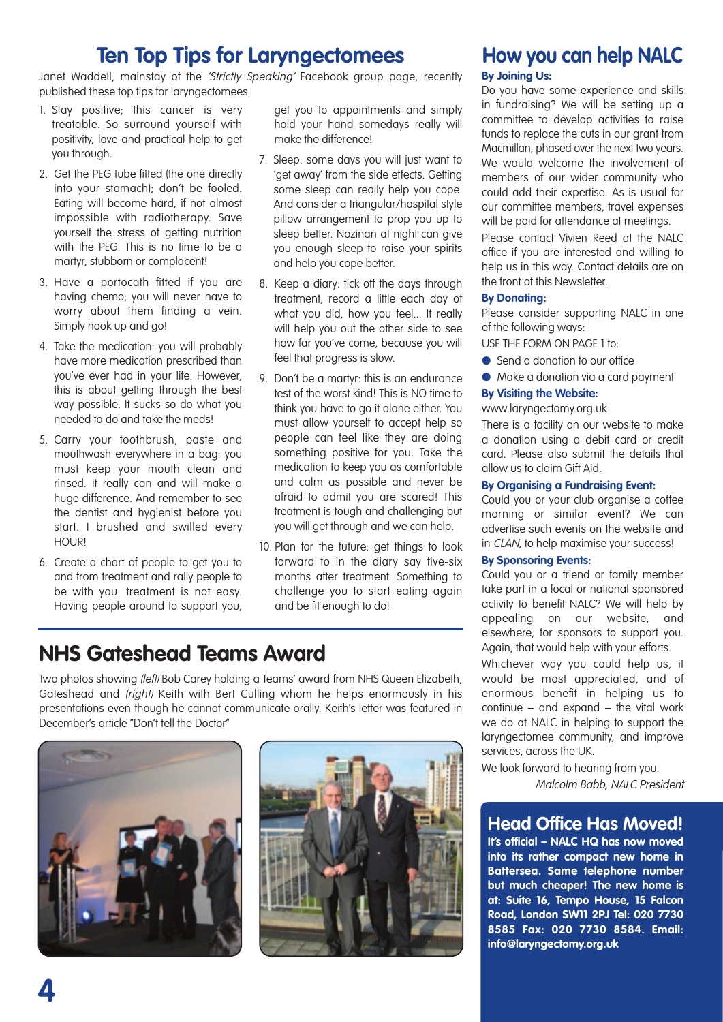# **Ten Top Tips for Laryngectomees**

Janet Waddell, mainstay of the 'Strictly Speaking' Facebook group page, recently published these top tips for laryngectomees:

- 1. Stay positive; this cancer is very treatable. So surround yourself with positivity, love and practical help to get you through.
- 2. Get the PEG tube fitted (the one directly into your stomach); don't be fooled. Eating will become hard, if not almost impossible with radiotherapy. Save yourself the stress of getting nutrition with the PEG. This is no time to be a martyr, stubborn or complacent!
- 3. Have a portocath fitted if you are having chemo; you will never have to worry about them finding a vein. Simply hook up and go!
- 4. Take the medication: you will probably have more medication prescribed than you've ever had in your life. However, this is about getting through the best way possible. It sucks so do what you needed to do and take the meds!
- 5. Carry your toothbrush, paste and mouthwash everywhere in a bag: you must keep your mouth clean and rinsed. It really can and will make a huge difference. And remember to see the dentist and hygienist before you start. I brushed and swilled every **HOUR!**
- 6. Create a chart of people to get you to and from treatment and rally people to be with you: treatment is not easy. Having people around to support you,

get you to appointments and simply hold your hand somedays really will make the difference!

- 7. Sleep: some days you will just want to 'get away' from the side effects. Getting some sleep can really help you cope. And consider a triangular/hospital style pillow arrangement to prop you up to sleep better. Nozinan at night can give you enough sleep to raise your spirits and help you cope better.
- 8. Keep a diary: tick off the days through treatment, record a little each day of what you did, how you feel... It really will help you out the other side to see how far you've come, because you will feel that progress is slow.
- 9. Don't be a martyr: this is an endurance test of the worst kind! This is NO time to think you have to go it alone either. You must allow yourself to accept help so people can feel like they are doing something positive for you. Take the medication to keep you as comfortable and calm as possible and never be afraid to admit you are scared! This treatment is tough and challenging but you will get through and we can help.
- 10. Plan for the future: get things to look forward to in the diary say five-six months after treatment. Something to challenge you to start eating again and be fit enough to do!

# **NHS Gateshead Teams Award**

Two photos showing (left) Bob Carey holding a Teams' award from NHS Queen Elizabeth, Gateshead and (right) Keith with Bert Culling whom he helps enormously in his presentations even though he cannot communicate orally. Keith's letter was featured in December's article "Don't tell the Doctor"





# **How you can help NALC**

#### **By Joining Us:**

Do you have some experience and skills in fundraising? We will be setting up a committee to develop activities to raise funds to replace the cuts in our grant from Macmillan, phased over the next two years. We would welcome the involvement of members of our wider community who could add their expertise. As is usual for our committee members, travel expenses will be paid for attendance at meetings.

Please contact Vivien Reed at the NALC office if you are interested and willing to help us in this way. Contact details are on the front of this Newsletter.

### **By Donating:**

Please consider supporting NALC in one of the following ways:

USE THE FORM ON PAGE 1 to:

- Send a donation to our office
- Make a donation via a card payment

### **By Visiting the Website:**

www.laryngectomy.org.uk

There is a facility on our website to make a donation using a debit card or credit card. Please also submit the details that allow us to claim Gift Aid.

### **By Organising a Fundraising Event:**

Could you or your club organise a coffee morning or similar event? We can advertise such events on the website and in CLAN, to help maximise your success!

#### **By Sponsoring Events:**

Could you or a friend or family member take part in a local or national sponsored activity to benefit NALC? We will help by appealing on our website, and elsewhere, for sponsors to support you. Again, that would help with your efforts.

Whichever way you could help us, it would be most appreciated, and of enormous benefit in helping us to continue – and expand – the vital work we do at NALC in helping to support the laryngectomee community, and improve services, across the UK.

We look forward to hearing from you.

Malcolm Babb, NALC President

### **Head Office Has Moved!**

**It's official – NALC HQ has now moved into its rather compact new home in Battersea. Same telephone number but much cheaper! The new home is at: Suite 16, Tempo House, 15 Falcon Road, London SW11 2PJ Tel: 020 7730 8585 Fax: 020 7730 8584. Email: info@laryngectomy.org.uk**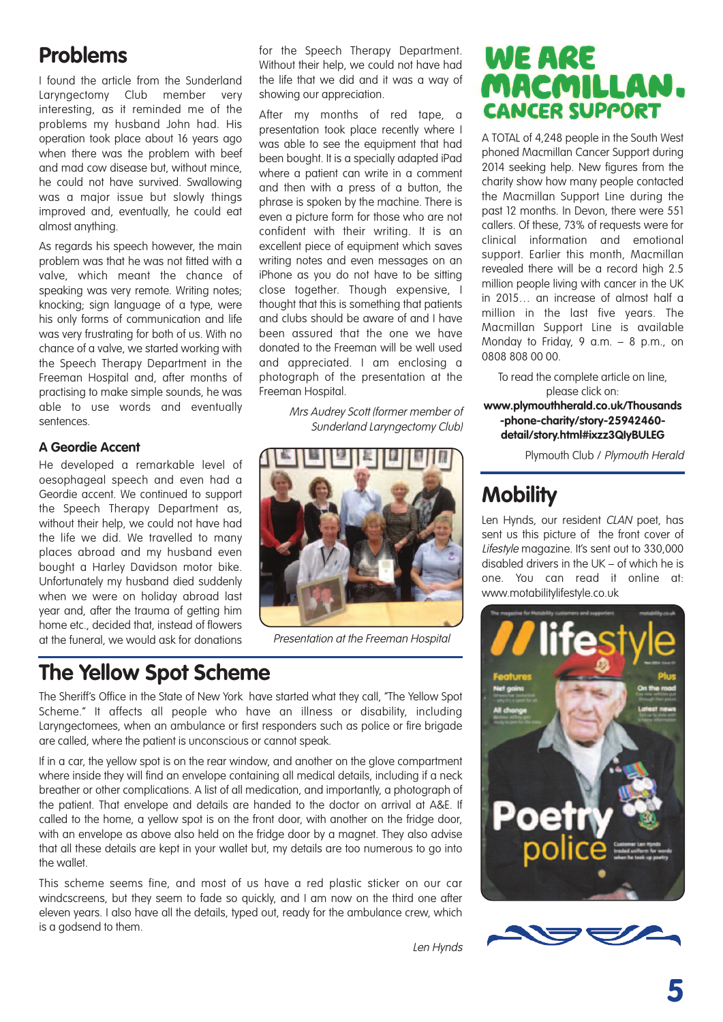# **Problems**

I found the article from the Sunderland Laryngectomy Club member very interesting, as it reminded me of the problems my husband John had. His operation took place about 16 years ago when there was the problem with beef and mad cow disease but, without mince, he could not have survived. Swallowing was a major issue but slowly things improved and, eventually, he could eat almost anything.

As regards his speech however, the main problem was that he was not fitted with a valve, which meant the chance of speaking was very remote. Writing notes; knocking; sign language of a type, were his only forms of communication and life was very frustrating for both of us. With no chance of a valve, we started working with the Speech Therapy Department in the Freeman Hospital and, after months of practising to make simple sounds, he was able to use words and eventually sentences.

### **A Geordie Accent**

He developed a remarkable level of oesophageal speech and even had a Geordie accent. We continued to support the Speech Therapy Department as, without their help, we could not have had the life we did. We travelled to many places abroad and my husband even bought a Harley Davidson motor bike. Unfortunately my husband died suddenly when we were on holiday abroad last year and, after the trauma of getting him home etc., decided that, instead of flowers at the funeral, we would ask for donations

for the Speech Therapy Department. Without their help, we could not have had the life that we did and it was a way of showing our appreciation.

After my months of red tape, a presentation took place recently where I was able to see the equipment that had been bought. It is a specially adapted iPad where a patient can write in a comment and then with a press of a button, the phrase is spoken by the machine. There is even a picture form for those who are not confident with their writing. It is an excellent piece of equipment which saves writing notes and even messages on an iPhone as you do not have to be sitting close together. Though expensive, I thought that this is something that patients and clubs should be aware of and I have been assured that the one we have donated to the Freeman will be well used and appreciated. I am enclosing a photograph of the presentation at the Freeman Hospital.

> Mrs Audrey Scott (former member of Sunderland Laryngectomy Club)



Presentation at the Freeman Hospital

# **The Yellow Spot Scheme**

The Sheriff's Office in the State of New York have started what they call, "The Yellow Spot Scheme." It affects all people who have an illness or disability, including Laryngectomees, when an ambulance or first responders such as police or fire brigade are called, where the patient is unconscious or cannot speak.

If in a car, the yellow spot is on the rear window, and another on the glove compartment where inside they will find an envelope containing all medical details, including if a neck breather or other complications. A list of all medication, and importantly, a photograph of the patient. That envelope and details are handed to the doctor on arrival at A&E. If called to the home, a yellow spot is on the front door, with another on the fridge door, with an envelope as above also held on the fridge door by a magnet. They also advise that all these details are kept in your wallet but, my details are too numerous to go into the wallet.

This scheme seems fine, and most of us have a red plastic sticker on our car windcscreens, but they seem to fade so quickly, and I am now on the third one after eleven years. I also have all the details, typed out, ready for the ambulance crew, which is a godsend to them.

Len Hynds

# **WE ARE** MACMILLAN. **CANCER SUPPORT**

A TOTAL of 4,248 people in the South West phoned Macmillan Cancer Support during 2014 seeking help. New figures from the charity show how many people contacted the Macmillan Support Line during the past 12 months. In Devon, there were 551 callers. Of these, 73% of requests were for clinical information and emotional support. Earlier this month, Macmillan revealed there will be a record high 2.5 million people living with cancer in the UK in 2015… an increase of almost half a million in the last five years. The Macmillan Support Line is available Monday to Friday, 9 a.m. – 8 p.m., on 0808 808 00 00.

To read the complete article on line, please click on: **www.plymouthherald.co.uk/Thousands -phone-charity/story-25942460 detail/story.html#ixzz3QIyBULEG**

Plymouth Club / Plymouth Herald

# **Mobility**

Len Hynds, our resident CLAN poet, has sent us this picture of the front cover of Lifestyle magazine. It's sent out to 330,000 disabled drivers in the UK – of which he is one. You can read it online at: www.motabilitylifestyle.co.uk



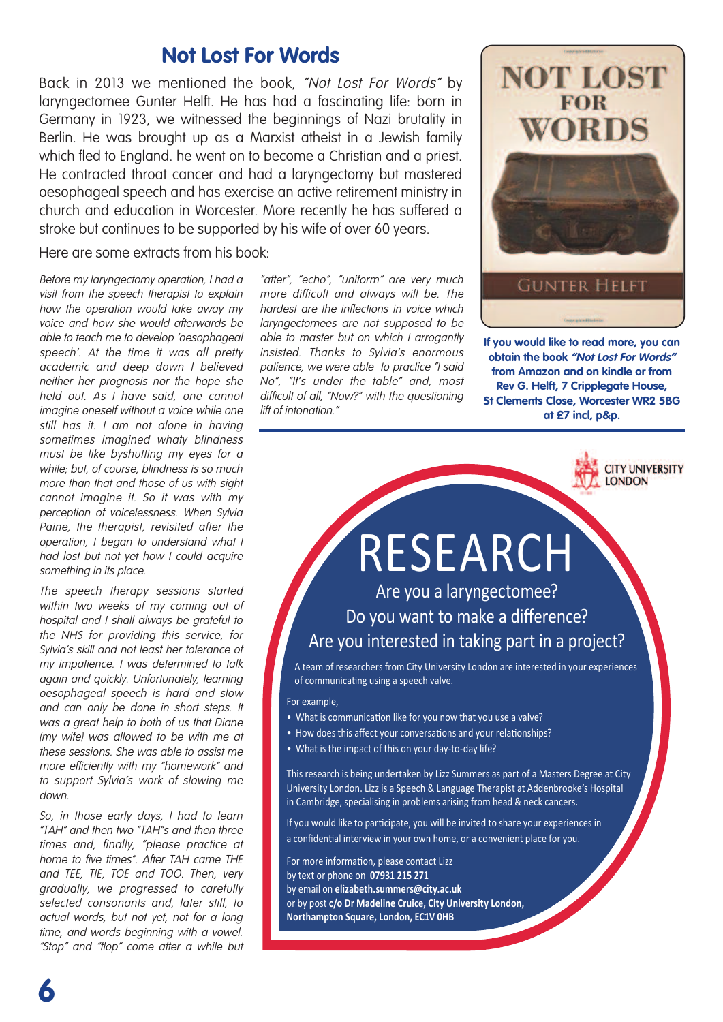### **Not Lost For Words**

Back in 2013 we mentioned the book, "Not Lost For Words" by laryngectomee Gunter Helft. He has had a fascinating life: born in Germany in 1923, we witnessed the beginnings of Nazi brutality in Berlin. He was brought up as a Marxist atheist in a Jewish family which fled to England. he went on to become a Christian and a priest. He contracted throat cancer and had a laryngectomy but mastered oesophageal speech and has exercise an active retirement ministry in church and education in Worcester. More recently he has suffered a stroke but continues to be supported by his wife of over 60 years.

Here are some extracts from his book:

Before my laryngectomy operation, I had <sup>a</sup> visit from the speech therapist to explain how the operation would take away my voice and how she would afterwards be able to teach me to develop 'oesophageal speech'. At the time it was all pretty academic and deep down I believed neither her prognosis nor the hope she held out. As I have said, one cannot imagine oneself without <sup>a</sup> voice while one still has it. I am not alone in having sometimes imagined whaty blindness must be like byshutting my eyes for <sup>a</sup> while; but, of course, blindness is so much more than that and those of us with sight cannot imagine it. So it was with my perception of voicelessness. When Sylvia Paine, the therapist, revisited after the operation, I began to understand what I had lost but not yet how I could acquire something in its place.

The speech therapy sessions started within two weeks of my coming out of hospital and I shall always be grateful to the NHS for providing this service, for Sylvia's skill and not least her tolerance of my impatience. I was determined to talk again and quickly. Unfortunately, learning oesophageal speech is hard and slow and can only be done in short steps. It was a great help to both of us that Diane (my wife) was allowed to be with me at these sessions. She was able to assist me more efficiently with my "homework" and to support Sylvia's work of slowing me down.

So, in those early days, I had to learn "TAH" and then two "TAH"s and then three times and, finally, "please practice at home to five times". After TAH came THE and TEE, TIE, TOE and TOO. Then, very gradually, we progressed to carefully selected consonants and, later still, to actual words, but not yet, not for <sup>a</sup> long time, and words beginning with <sup>a</sup> vowel. "Stop" and "flop" come after <sup>a</sup> while but

**6**

"after", "echo", "uniform" are very much more difficult and always will be. The hardest are the inflections in voice which laryngectomees are not supposed to be able to master but on which I arrogantly insisted. Thanks to Sylvia's enormous patience, we were able to practice "I said No", "It's under the table" and, most difficult of all, "Now?" with the questioning lift of intonation."



**If you would like to read more, you can obtain the book "Not Lost For Words" from Amazon and on kindle or from Rev G. Helft, 7 Cripplegate House, St Clements Close, Worcester WR2 5BG at £7 incl, p&p.**



# RESEARCH Are you a laryngectomee?

# Do you want to make a difference? Are you interested in taking part in a project?

A team of researchers from City University London are interested in your experiences of communicating using a speech valve.

For example,

- What is communication like for you now that you use a valve?
- How does this affect your conversations and your relationships?
- What is the impact of this on your day-to-day life?

This research is being undertaken by Lizz Summers as part of a Masters Degree at City University London. Lizz is a Speech & Language Therapist at Addenbrooke's Hospital in Cambridge, specialising in problems arising from head & neck cancers.

If you would like to participate, you will be invited to share your experiences in a confidential interview in your own home, or a convenient place for you.

For more information, please contact Lizz by text or phone on **07931 215 271**  by email on **elizabeth.summers@city.ac.uk**  or by post **c/o Dr Madeline Cruice, City University London, Northampton Square, London, EC1V 0HB**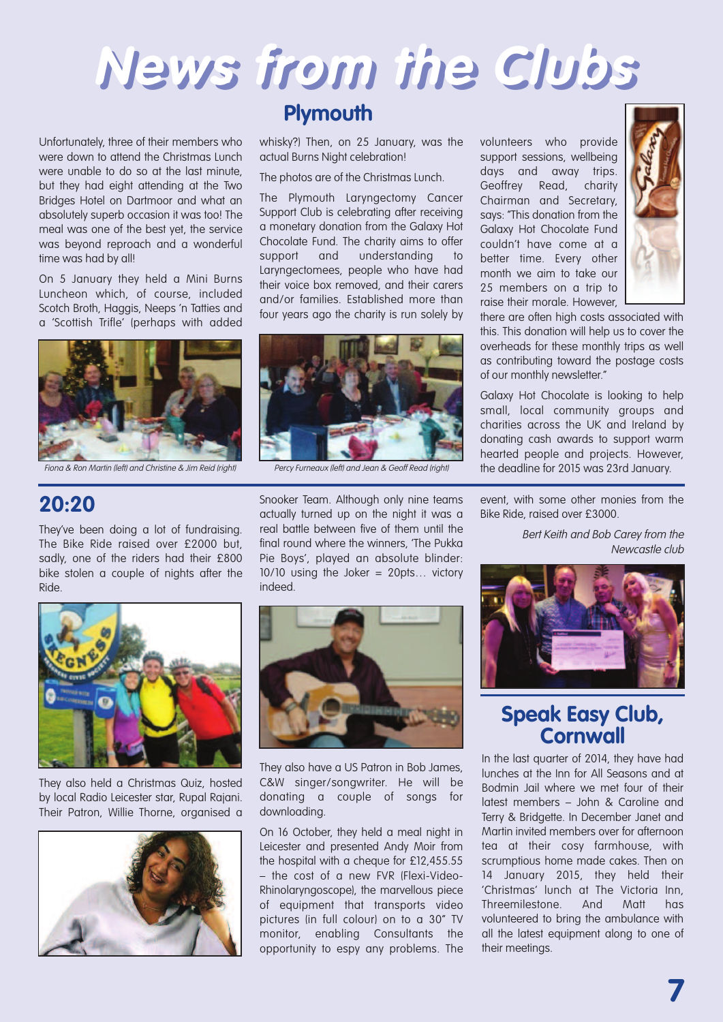

whisky?) Then, on 25 January, was the

The photos are of the Christmas Lunch. The Plymouth Laryngectomy Cancer Support Club is celebrating after receiving a monetary donation from the Galaxy Hot Chocolate Fund. The charity aims to offer support and understanding to Laryngectomees, people who have had their voice box removed, and their carers and/or families. Established more than four years ago the charity is run solely by

actual Burns Night celebration!

**Plymouth**

Unfortunately, three of their members who were down to attend the Christmas Lunch were unable to do so at the last minute, but they had eight attending at the Two Bridges Hotel on Dartmoor and what an absolutely superb occasion it was too! The meal was one of the best yet, the service was beyond reproach and a wonderful time was had by all!

On 5 January they held a Mini Burns Luncheon which, of course, included Scotch Broth, Haggis, Neeps 'n Tatties and a 'Scottish Trifle' (perhaps with added



Fiona & Ron Martin (left) and Christine & Jim Reid (right) Percy Furneaux (left) and Jean & Geoff Read (right)

### **20:20**

They've been doing a lot of fundraising. The Bike Ride raised over £2000 but, sadly, one of the riders had their £800 bike stolen a couple of nights after the Ride.



Snooker Team. Although only nine teams actually turned up on the night it was a real battle between five of them until the final round where the winners, 'The Pukka Pie Boys', played an absolute blinder: 10/10 using the Joker = 20pts… victory indeed.



They also held a Christmas Quiz, hosted by local Radio Leicester star, Rupal Rajani. Their Patron, Willie Thorne, organised a





They also have a US Patron in Bob James, C&W singer/songwriter. He will be donating a couple of songs for downloading.

On 16 October, they held a meal night in Leicester and presented Andy Moir from the hospital with a cheque for £12,455.55 – the cost of a new FVR (Flexi-Video-Rhinolaryngoscope), the marvellous piece of equipment that transports video pictures (in full colour) on to a 30" TV monitor, enabling Consultants the opportunity to espy any problems. The

volunteers who provide support sessions, wellbeing days and away trips. Geoffrey Read, charity Chairman and Secretary, says: "This donation from the Galaxy Hot Chocolate Fund couldn't have come at a better time. Every other month we aim to take our 25 members on a trip to raise their morale. However,



there are often high costs associated with this. This donation will help us to cover the overheads for these monthly trips as well as contributing toward the postage costs of our monthly newsletter."

Galaxy Hot Chocolate is looking to help small, local community groups and charities across the UK and Ireland by donating cash awards to support warm hearted people and projects. However, the deadline for 2015 was 23rd January.

event, with some other monies from the Bike Ride, raised over £3000.

> Bert Keith and Bob Carey from the Newcastle club



### **Speak Easy Club, Cornwall**

In the last quarter of 2014, they have had lunches at the Inn for All Seasons and at Bodmin Jail where we met four of their latest members – John & Caroline and Terry & Bridgette. In December Janet and Martin invited members over for afternoon tea at their cosy farmhouse, with scrumptious home made cakes. Then on 14 January 2015, they held their 'Christmas' lunch at The Victoria Inn, Threemilestone. And Matt has volunteered to bring the ambulance with all the latest equipment along to one of their meetings.